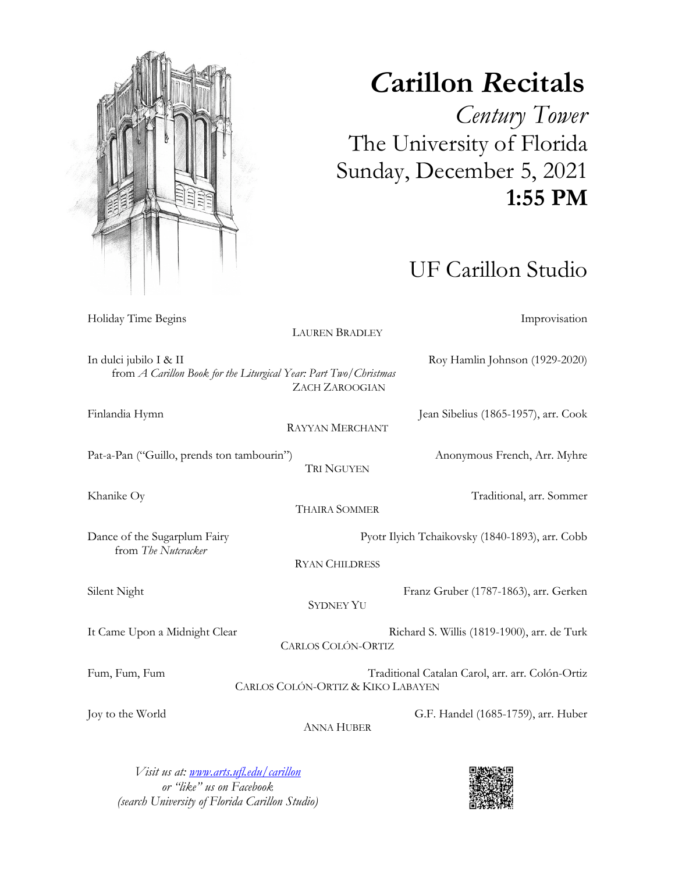

## *C***arillon** *R***ecitals**

 *Century Tower* The University of Florida Sunday, December 5, 2021  **1:55 PM**

UF Carillon Studio

LAUREN BRADLEY In dulci jubilo I & II Roy Hamlin Johnson (1929-2020) from *A Carillon Book for the Liturgical Year: Part Two/Christmas* ZACH ZAROOGIAN Finlandia Hymn Jean Sibelius (1865-1957), arr. Cook RAYYAN MERCHANT Pat-a-Pan ("Guillo, prends ton tambourin") Anonymous French, Arr. Myhre TRI NGUYEN Khanike Oy Traditional, arr. Sommer THAIRA SOMMER Dance of the Sugarplum Fairy Pyotr Ilyich Tchaikovsky (1840-1893), arr. Cobb from *The Nutcracker* RYAN CHILDRESS Silent Night Franz Gruber (1787-1863), arr. Gerken SYDNEY YU It Came Upon a Midnight Clear **Richard S. Willis (1819-1900)**, arr. de Turk CARLOS COLÓN-ORTIZ

Fum, Fum, Fum Traditional Catalan Carol, arr. arr. Colón-Ortiz CARLOS COLÓN-ORTIZ & KIKO LABAYEN

Joy to the World G.F. Handel (1685-1759), arr. Huber

ANNA HUBER

*Visit us at: www.arts.ufl.edu/carillon or "like" us on Facebook (search University of Florida Carillon Studio)*



Holiday Time Begins **Improvisation**